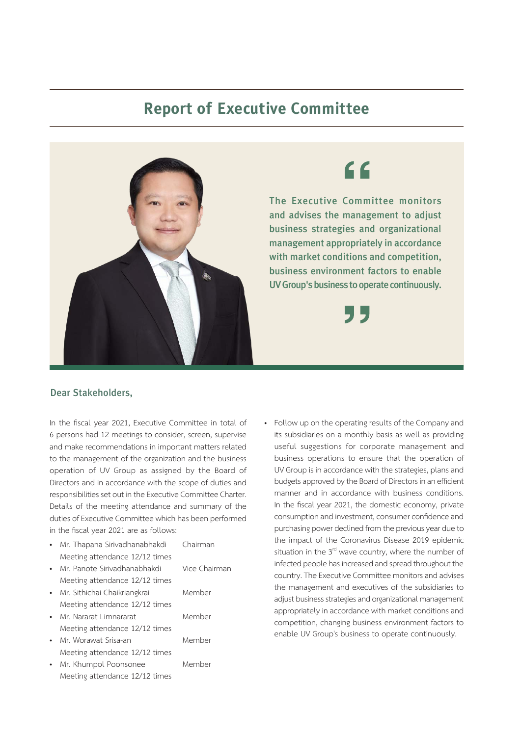## **Report of Executive Committee**



and advises the management to adjust business strategies and organizational management appropriately in accordance with market conditions and competition, business environment factors to enable UV Group's business to operate continuously.

## Dear Stakeholders,

In the fiscal year 2021, Executive Committee in total of 6 persons had 12 meetings to consider, screen, supervise and make recommendations in important matters related to the management of the organization and the business operation of UV Group as assigned by the Board of Directors and in accordance with the scope of duties and responsibilities set out in the Executive Committee Charter. Details of the meeting attendance and summary of the duties of Executive Committee which has been performed in the fiscal year 2021 are as follows:

- Mr. Thapana Sirivadhanabhakdi Chairman Meeting attendance 12/12 times
- Mr. Panote Sirivadhanabhakdi Meeting attendance 12/12 times
- Mr. Sithichai Chaikriangkrai Meeting attendance 12/12 times
- Mr. Nararat Limnararat Meeting attendance 12/12 times
- Mr. Worawat Srisa-an Meeting attendance 12/12 times
- Mr. Khumpol Poonsonee Member Meeting attendance 12/12 times

| Vice Chairman |
|---------------|
| Member        |
| Member        |
| Member        |
|               |

• Follow up on the operating results of the Company and its subsidiaries on a monthly basis as well as providing useful suggestions for corporate management and business operations to ensure that the operation of UV Group is in accordance with the strategies, plans and budgets approved by the Board of Directors in an efficient manner and in accordance with business conditions. In the fiscal year 2021, the domestic economy, private consumption and investment, consumer confidence and purchasing power declined from the previous year due to the impact of the Coronavirus Disease 2019 epidemic situation in the  $3<sup>rd</sup>$  wave country, where the number of infected people has increased and spread throughout the country. The Executive Committee monitors and advises the management and executives of the subsidiaries to adjust business strategies and organizational management appropriately in accordance with market conditions and competition, changing business environment factors to enable UV Group's business to operate continuously.